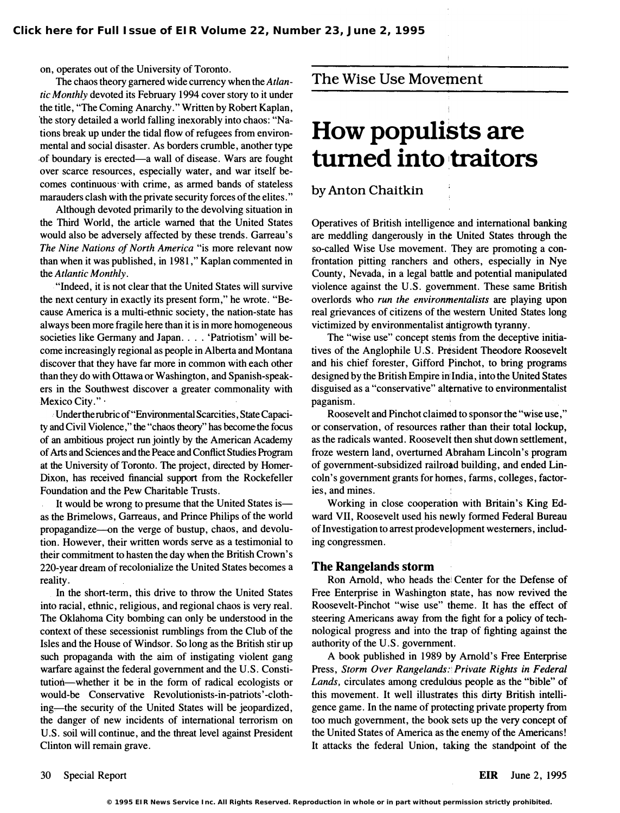on, operates out of the University of Toronto.

The chaos theory garnered wide currency when the Atlantic Monthly devoted its February 1994 cover story to it under the title, "The Coming Anarchy." Written by Robert Kaplan, the story detailed a world falling inexorably into chaos: "Nations break up under the tidal flow of refugees from environmental and social disaster. As borders crumble, another type of boundary is erected-a wall of disease. Wars are fought over scarce resources, especially water, and war itself becomes continuous with crime, as armed bands of stateless marauders clash with the private security forces of the elites. "

Although devoted primarily to the devolving situation in the Third World, the article warned that the United States would also be adversely affected by these trends. Garreau's The Nine Nations of North America "is more relevant now than when it was published, in 1981," Kaplan commented in the Atlantic Monthly.

. "Indeed, it is not clear that the United States will survive the next century in exactly its present form," he wrote. "Because America is a multi-ethnic society, the nation-state has always been more fragile here than it is in more homogeneous societies like Germany and Japan. . . . 'Patriotism' will become increasingly regional as people in Alberta and Montana discover that they have far more in common with each other than they do with Ottawa or Washington, and Spanish-speak: ers in the Southwest discover a greater commonality with Mexico City."

, Under the rubric of "Environmental Scarcities, State Capacity and Civil Violence," the "chaos theory" has become the focus of an ambitious project run jointly by the American Academy of Arts and Sciences and the Peace and Conflict Studies Program at the University of Toronto. The project, directed by Homer-Dixon, has received financial support from the Rockefeller Foundation and the Pew Charitable Trusts.

It would be wrong to presume that the United States is as the Brimelows, Garreaus, and Prince Philips of the world propagandize-on the verge of bustup, chaos, and devolution. However, their written words serve as a testimonial to their commitment to hasten the day when the British Crown's 220-year dream of recolonialize the United States becomes a reality.

In the short-term, this drive to throw the United States into racial, ethnic, religious, and regional chaos is very real. The Oklahoma City bombing can only be understood in the context of these secessionist rumblings from the Club of the Isles and the House of Windsor. So long as the British stir up such propaganda with the aim of instigating violent gang warfare against the federal government and the U. S. Constitution-whether it be in the form of radical ecologists or would-be Conservative Revolutionists-in-patriots' -clothing-the security of the United States will be jeopardized, the danger of new incidents of international terrorism on U.S. soil will continue, and the threat level against President Clinton will remain grave.

## The Wise Use Movement

# How populists are turned into traitors

### by Anton Chaitkin

Operatives of British intelligenoe and international banking are meddling dangerously in the United States through the so-called Wise Use movement. They are promoting a confrontation pitting ranchers and others, especially in Nye County, Nevada, in a legal battle and potential manipulated violence against the U.S. govemment. These same British overlords who run the environmentalists are playing upon real grievances of citizens of the western United States long victimized by environmentalist antigrowth tyranny.

The "wise use" concept stems from the deceptive initiatives of the Anglophile U.S. President Theodore Roosevelt and his chief forester, Gifford Pinchot, to bring programs designed by the British Empire inl India , into the United States disguised as a "conservative" alternative to environmentalist paganism.

Roosevelt and Pinchot claimed to sponsor the "wise use," or conservation, of resources rather than their total lockup, as the radicals wanted. Roosevelt then shut down settlement, froze western land, overturned Abraham Lincoln's program of government-subsidized railroad building, and ended Lincoln's government grants for homes, farms, colleges, factories, and mines.

Working in close cooperation with Britain's King Edward VII, Roosevelt used his newly formed Federal Bureau of Investigation to arrest prodevelopment westerners, including congressmen.

#### The Rangelands storm

Ron Arnold, who heads thei Center for the Defense of Free Enterprise in Washington state, has now revived the Roosevelt-Pinchot "wise use" theme. It has the effect of steering Americans away from the fight for a policy of technological progress and into the trap of fighting against the authority of the U.S. government.

A book published in 1989 by Arnold's Free Enterprise Press, Storm Over Rangelands: Private Rights in Federal Lands, circulates among credulous people as the "bible" of this movement. It well illustrates this dirty British intelligence game. In the name of protecting private property from too much government, the book sets up the very concept of the United States of America as the enemy of the Americans! It attacks the federal Union, taking the standpoint of the